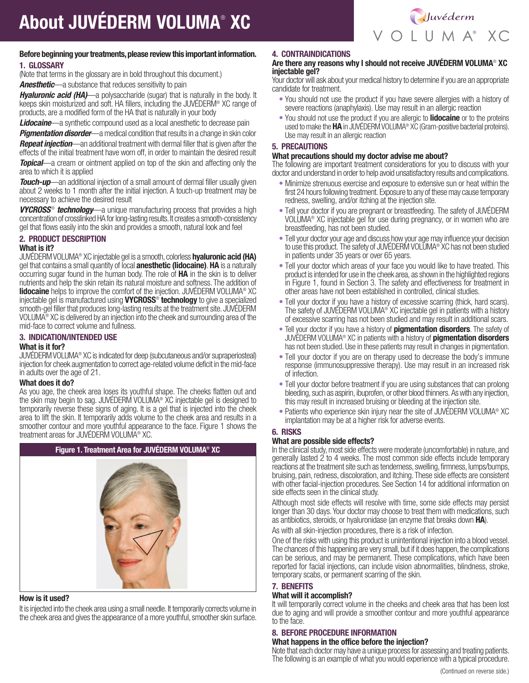

## Before beginning your treatments, please review this important information. 1. GLOSSARY

(Note that terms in the glossary are in bold throughout this document.)

*Anesthetic*—a substance that reduces sensitivity to pain

*Hyaluronic acid (HA)*—a polysaccharide (sugar) that is naturally in the body. It keeps skin moisturized and soft. HA fillers, including the JUVÉDERM® XC range of products, are a modified form of the HA that is naturally in your body

*Lidocaine*—a synthetic compound used as a local anesthetic to decrease pain

**Pigmentation disorder**—a medical condition that results in a change in skin color *Repeat injection*—an additional treatment with dermal filler that is given after the

effects of the initial treatment have worn off, in order to maintain the desired result *Topical*—a cream or ointment applied on top of the skin and affecting only the area to which it is applied

**Touch-up**—an additional injection of a small amount of dermal filler usually given about 2 weeks to 1 month after the initial injection. A touch-up treatment may be necessary to achieve the desired result

**VYCROSS<sup>®</sup>** technology—a unique manufacturing process that provides a high concentration of crosslinked HA for long-lasting results. It creates a smooth-consistency gel that flows easily into the skin and provides a smooth, natural look and feel

# 2. PRODUCT DESCRIPTION

### What is it?

JUVÉDERM VOLUMA<sup>®</sup> XC injectable gel is a smooth, colorless **hyaluronic acid (HA)** gel that contains a small quantity of local **anesthetic (lidocaine). HA** is a naturally occurring sugar found in the human body. The role of HA in the skin is to deliver nutrients and help the skin retain its natural moisture and softness. The addition of **lidocaine** helps to improve the comfort of the injection. JUVÉDERM VOLUMA<sup>®</sup> XC injectable gel is manufactured using **VYCROSS<sup>®</sup> technology** to give a specialized smooth-gel filler that produces long-lasting results at the treatment site. JUVÉDERM VOLUMA® XC is delivered by an injection into the cheek and surrounding area of the mid-face to correct volume and fullness.

# 3. INDICATION/INTENDED USE

### What is it for?

JUVÉDERM VOLUMA® XC is indicated for deep (subcutaneous and/or supraperiosteal) injection for cheek augmentation to correct age-related volume deficit in the mid-face in adults over the age of 21.

## What does it do?

As you age, the cheek area loses its youthful shape. The cheeks flatten out and the skin may begin to sag. JUVÉDERM VOLUMA® XC injectable gel is designed to temporarily reverse these signs of aging. It is a gel that is injected into the cheek area to lift the skin. It temporarily adds volume to the cheek area and results in a smoother contour and more youthful appearance to the face. Figure 1 shows the treatment areas for JUVÉDERM VOLUMA® XC.



### How is it used?

It is injected into the cheek area using a small needle. It temporarily corrects volume in the cheek area and gives the appearance of a more youthful, smoother skin surface.

# 4. CONTRAINDICATIONS

### Are there any reasons why I should not receive JUVÉDERM VOLUMA® XC injectable gel?

Your doctor will ask about your medical history to determine if you are an appropriate candidate for treatment.

- You should not use the product if you have severe allergies with a history of severe reactions (anaphylaxis). Use may result in an allergic reaction
- You should not use the product if you are allergic to **lidocaine** or to the proteins used to make the HA in JUVÉDERM VOLUMA® XC (Gram-positive bacterial proteins). Use may result in an allergic reaction

# 5. PRECAUTIONS

### What precautions should my doctor advise me about?

The following are important treatment considerations for you to discuss with your doctor and understand in order to help avoid unsatisfactory results and complications.

- Minimize strenuous exercise and exposure to extensive sun or heat within the first 24 hours following treatment. Exposure to any of these may cause temporary redness, swelling, and/or itching at the injection site.
- Tell your doctor if you are pregnant or breastfeeding. The safety of JUVÉDERM VOLUMA® XC injectable gel for use during pregnancy, or in women who are breastfeeding, has not been studied.
- Tell your doctor your age and discuss how your age may influence your decision to use this product. The safety of JUVÉDERM VOLUMA® XC has not been studied in patients under 35 years or over 65 years.
- Tell your doctor which areas of your face you would like to have treated. This product is intended for use in the cheek area, as shown in the highlighted regions in Figure 1, found in Section 3. The safety and effectiveness for treatment in other areas have not been established in controlled, clinical studies.
- Tell your doctor if you have a history of excessive scarring (thick, hard scars). The safety of JUVÉDERM VOLUMA<sup>®</sup> XC injectable gel in patients with a history of excessive scarring has not been studied and may result in additional scars.
- Tell your doctor if you have a history of **pigmentation disorders**. The safety of JUVÉDERM VOLUMA® XC in patients with a history of pigmentation disorders has not been studied. Use in these patients may result in changes in pigmentation.
- Tell your doctor if you are on therapy used to decrease the body's immune response (immunosuppressive therapy). Use may result in an increased risk of infection.
- Tell your doctor before treatment if you are using substances that can prolong bleeding, such as aspirin, ibuprofen, or other blood thinners. As with any injection, this may result in increased bruising or bleeding at the injection site.
- Patients who experience skin injury near the site of JUVÉDERM VOLUMA® XC implantation may be at a higher risk for adverse events.

# 6. RISKS

### What are possible side effects?

In the clinical study, most side effects were moderate (uncomfortable) in nature, and generally lasted 2 to 4 weeks. The most common side effects include temporary reactions at the treatment site such as tenderness, swelling, firmness, lumps/bumps, bruising, pain, redness, discoloration, and itching. These side effects are consistent with other facial-injection procedures. See Section 14 for additional information on side effects seen in the clinical study.

Although most side effects will resolve with time, some side effects may persist longer than 30 days. Your doctor may choose to treat them with medications, such as antibiotics, steroids, or hyaluronidase (an enzyme that breaks down HA).

As with all skin-injection procedures, there is a risk of infection.

One of the risks with using this product is unintentional injection into a blood vessel. The chances of this happening are very small, but if it does happen, the complications can be serious, and may be permanent. These complications, which have been reported for facial injections, can include vision abnormalities, blindness, stroke, temporary scabs, or permanent scarring of the skin.

## 7. BENEFITS

### What will it accomplish?

It will temporarily correct volume in the cheeks and cheek area that has been lost due to aging and will provide a smoother contour and more youthful appearance to the face.

# 8. BEFORE PROCEDURE INFORMATION

### What happens in the office before the injection?

Note that each doctor may have a unique process for assessing and treating patients. The following is an example of what you would experience with a typical procedure.